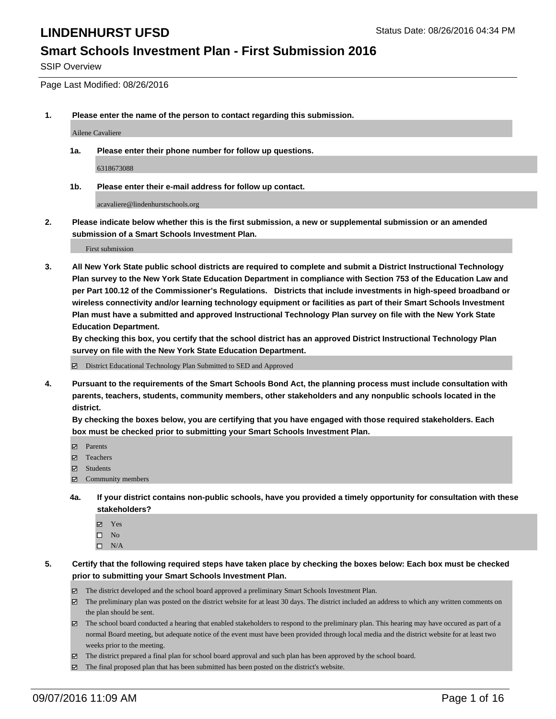#### **Smart Schools Investment Plan - First Submission 2016**

SSIP Overview

Page Last Modified: 08/26/2016

**1. Please enter the name of the person to contact regarding this submission.**

Ailene Cavaliere

**1a. Please enter their phone number for follow up questions.**

6318673088

**1b. Please enter their e-mail address for follow up contact.**

acavaliere@lindenhurstschools.org

**2. Please indicate below whether this is the first submission, a new or supplemental submission or an amended submission of a Smart Schools Investment Plan.**

First submission

**3. All New York State public school districts are required to complete and submit a District Instructional Technology Plan survey to the New York State Education Department in compliance with Section 753 of the Education Law and per Part 100.12 of the Commissioner's Regulations. Districts that include investments in high-speed broadband or wireless connectivity and/or learning technology equipment or facilities as part of their Smart Schools Investment Plan must have a submitted and approved Instructional Technology Plan survey on file with the New York State Education Department.** 

**By checking this box, you certify that the school district has an approved District Instructional Technology Plan survey on file with the New York State Education Department.**

District Educational Technology Plan Submitted to SED and Approved

**4. Pursuant to the requirements of the Smart Schools Bond Act, the planning process must include consultation with parents, teachers, students, community members, other stakeholders and any nonpublic schools located in the district.** 

**By checking the boxes below, you are certifying that you have engaged with those required stakeholders. Each box must be checked prior to submitting your Smart Schools Investment Plan.**

- Parents
- Teachers
- **☑** Students
- $\boxtimes$  Community members
- **4a. If your district contains non-public schools, have you provided a timely opportunity for consultation with these stakeholders?**
	- Yes  $\square$  No
	- $\square$  N/A
- **5. Certify that the following required steps have taken place by checking the boxes below: Each box must be checked prior to submitting your Smart Schools Investment Plan.**
	- The district developed and the school board approved a preliminary Smart Schools Investment Plan.
	- The preliminary plan was posted on the district website for at least 30 days. The district included an address to which any written comments on the plan should be sent.
	- $\boxtimes$  The school board conducted a hearing that enabled stakeholders to respond to the preliminary plan. This hearing may have occured as part of a normal Board meeting, but adequate notice of the event must have been provided through local media and the district website for at least two weeks prior to the meeting.
	- The district prepared a final plan for school board approval and such plan has been approved by the school board.
	- The final proposed plan that has been submitted has been posted on the district's website.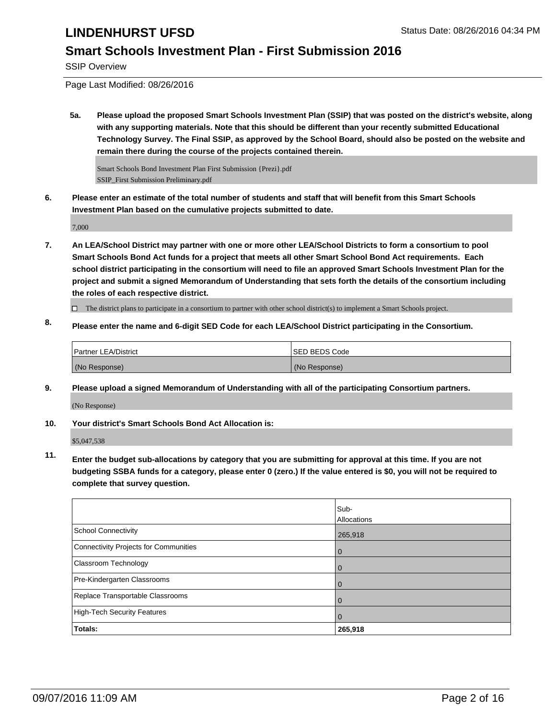#### **Smart Schools Investment Plan - First Submission 2016**

SSIP Overview

Page Last Modified: 08/26/2016

**5a. Please upload the proposed Smart Schools Investment Plan (SSIP) that was posted on the district's website, along with any supporting materials. Note that this should be different than your recently submitted Educational Technology Survey. The Final SSIP, as approved by the School Board, should also be posted on the website and remain there during the course of the projects contained therein.**

Smart Schools Bond Investment Plan First Submission {Prezi}.pdf SSIP\_First Submission Preliminary.pdf

**6. Please enter an estimate of the total number of students and staff that will benefit from this Smart Schools Investment Plan based on the cumulative projects submitted to date.**

7,000

**7. An LEA/School District may partner with one or more other LEA/School Districts to form a consortium to pool Smart Schools Bond Act funds for a project that meets all other Smart School Bond Act requirements. Each school district participating in the consortium will need to file an approved Smart Schools Investment Plan for the project and submit a signed Memorandum of Understanding that sets forth the details of the consortium including the roles of each respective district.**

 $\Box$  The district plans to participate in a consortium to partner with other school district(s) to implement a Smart Schools project.

**8. Please enter the name and 6-digit SED Code for each LEA/School District participating in the Consortium.**

| <b>Partner LEA/District</b> | <b>ISED BEDS Code</b> |
|-----------------------------|-----------------------|
| (No Response)               | (No Response)         |

**9. Please upload a signed Memorandum of Understanding with all of the participating Consortium partners.** (No Response)

**10. Your district's Smart Schools Bond Act Allocation is:**

\$5,047,538

**11. Enter the budget sub-allocations by category that you are submitting for approval at this time. If you are not budgeting SSBA funds for a category, please enter 0 (zero.) If the value entered is \$0, you will not be required to complete that survey question.**

|                                       | Sub-<br>Allocations |
|---------------------------------------|---------------------|
| School Connectivity                   | 265,918             |
| Connectivity Projects for Communities | 0                   |
| <b>Classroom Technology</b>           | O                   |
| Pre-Kindergarten Classrooms           |                     |
| Replace Transportable Classrooms      |                     |
| High-Tech Security Features           | O                   |
| Totals:                               | 265,918             |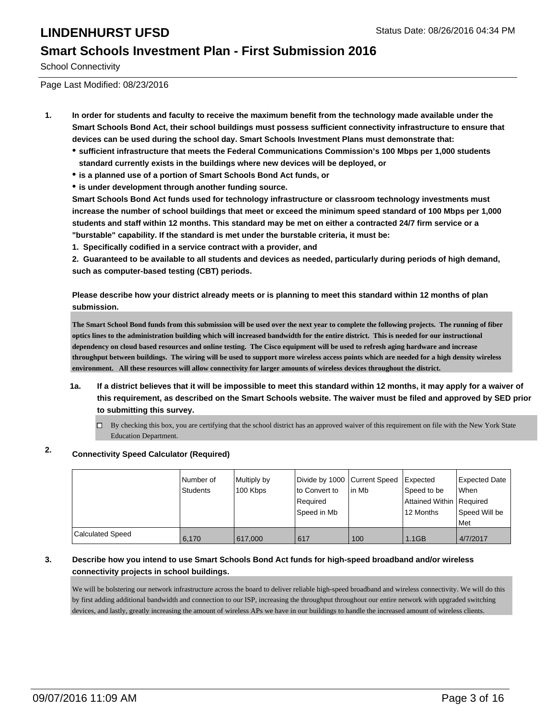#### **Smart Schools Investment Plan - First Submission 2016**

School Connectivity

Page Last Modified: 08/23/2016

- **1. In order for students and faculty to receive the maximum benefit from the technology made available under the Smart Schools Bond Act, their school buildings must possess sufficient connectivity infrastructure to ensure that devices can be used during the school day. Smart Schools Investment Plans must demonstrate that:**
	- **sufficient infrastructure that meets the Federal Communications Commission's 100 Mbps per 1,000 students standard currently exists in the buildings where new devices will be deployed, or**
	- **is a planned use of a portion of Smart Schools Bond Act funds, or**
	- **is under development through another funding source.**

**Smart Schools Bond Act funds used for technology infrastructure or classroom technology investments must increase the number of school buildings that meet or exceed the minimum speed standard of 100 Mbps per 1,000 students and staff within 12 months. This standard may be met on either a contracted 24/7 firm service or a "burstable" capability. If the standard is met under the burstable criteria, it must be:**

**1. Specifically codified in a service contract with a provider, and**

**2. Guaranteed to be available to all students and devices as needed, particularly during periods of high demand, such as computer-based testing (CBT) periods.**

**Please describe how your district already meets or is planning to meet this standard within 12 months of plan submission.**

**The Smart School Bond funds from this submission will be used over the next year to complete the following projects. The running of fiber optics lines to the administration building which will increased bandwidth for the entire district. This is needed for our instructional dependency on cloud based resources and online testing. The Cisco equipment will be used to refresh aging hardware and increase throughput between buildings. The wiring will be used to support more wireless access points which are needed for a high density wireless environment. All these resources will allow connectivity for larger amounts of wireless devices throughout the district.**

- **1a. If a district believes that it will be impossible to meet this standard within 12 months, it may apply for a waiver of this requirement, as described on the Smart Schools website. The waiver must be filed and approved by SED prior to submitting this survey.**
	- $\Box$  By checking this box, you are certifying that the school district has an approved waiver of this requirement on file with the New York State Education Department.

#### **2. Connectivity Speed Calculator (Required)**

|                         | I Number of<br>Students | Multiply by<br>100 Kbps | Divide by 1000 Current Speed<br>Ito Convert to<br>l Reauired<br>Speed in Mb | lin Mb | <b>Expected</b><br>Speed to be<br>Attained Within   Required<br>12 Months | Expected Date<br><b>When</b><br>Speed Will be<br>Met |
|-------------------------|-------------------------|-------------------------|-----------------------------------------------------------------------------|--------|---------------------------------------------------------------------------|------------------------------------------------------|
| <b>Calculated Speed</b> | 6.170                   | 617,000                 | 617                                                                         | 100    | 1.1GB                                                                     | 4/7/2017                                             |

#### **3. Describe how you intend to use Smart Schools Bond Act funds for high-speed broadband and/or wireless connectivity projects in school buildings.**

We will be bolstering our network infrastructure across the board to deliver reliable high-speed broadband and wireless connectivity. We will do this by first adding additional bandwidth and connection to our ISP, increasing the throughput throughout our entire network with upgraded switching devices, and lastly, greatly increasing the amount of wireless APs we have in our buildings to handle the increased amount of wireless clients.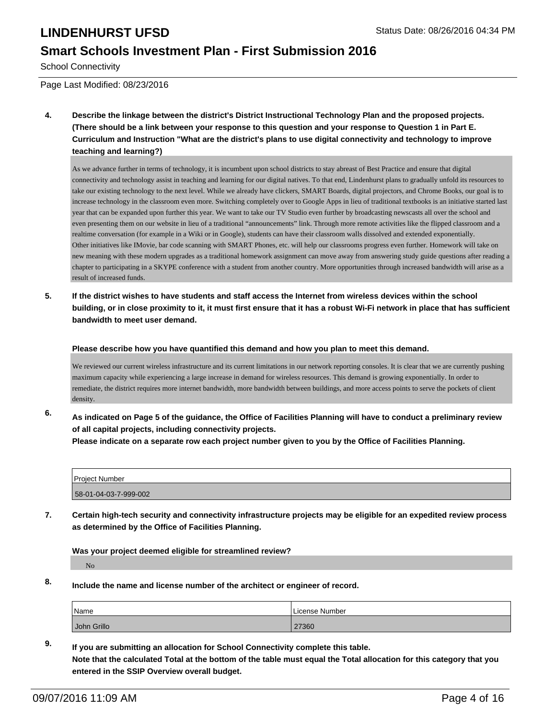#### **Smart Schools Investment Plan - First Submission 2016**

School Connectivity

Page Last Modified: 08/23/2016

**4. Describe the linkage between the district's District Instructional Technology Plan and the proposed projects. (There should be a link between your response to this question and your response to Question 1 in Part E. Curriculum and Instruction "What are the district's plans to use digital connectivity and technology to improve teaching and learning?)**

As we advance further in terms of technology, it is incumbent upon school districts to stay abreast of Best Practice and ensure that digital connectivity and technology assist in teaching and learning for our digital natives. To that end, Lindenhurst plans to gradually unfold its resources to take our existing technology to the next level. While we already have clickers, SMART Boards, digital projectors, and Chrome Books, our goal is to increase technology in the classroom even more. Switching completely over to Google Apps in lieu of traditional textbooks is an initiative started last year that can be expanded upon further this year. We want to take our TV Studio even further by broadcasting newscasts all over the school and even presenting them on our website in lieu of a traditional "announcements" link. Through more remote activities like the flipped classroom and a realtime conversation (for example in a Wiki or in Google), students can have their classroom walls dissolved and extended exponentially. Other initiatives like IMovie, bar code scanning with SMART Phones, etc. will help our classrooms progress even further. Homework will take on new meaning with these modern upgrades as a traditional homework assignment can move away from answering study guide questions after reading a chapter to participating in a SKYPE conference with a student from another country. More opportunities through increased bandwidth will arise as a result of increased funds.

**5. If the district wishes to have students and staff access the Internet from wireless devices within the school building, or in close proximity to it, it must first ensure that it has a robust Wi-Fi network in place that has sufficient bandwidth to meet user demand.**

**Please describe how you have quantified this demand and how you plan to meet this demand.**

We reviewed our current wireless infrastructure and its current limitations in our network reporting consoles. It is clear that we are currently pushing maximum capacity while experiencing a large increase in demand for wireless resources. This demand is growing exponentially. In order to remediate, the district requires more internet bandwidth, more bandwidth between buildings, and more access points to serve the pockets of client density.

**6. As indicated on Page 5 of the guidance, the Office of Facilities Planning will have to conduct a preliminary review of all capital projects, including connectivity projects.**

**Please indicate on a separate row each project number given to you by the Office of Facilities Planning.**

| Project Number        |  |
|-----------------------|--|
| 58-01-04-03-7-999-002 |  |

**7. Certain high-tech security and connectivity infrastructure projects may be eligible for an expedited review process as determined by the Office of Facilities Planning.**

**Was your project deemed eligible for streamlined review?**

No

**8. Include the name and license number of the architect or engineer of record.**

| Name        | License Number |
|-------------|----------------|
| John Grillo | 27360          |

**9. If you are submitting an allocation for School Connectivity complete this table. Note that the calculated Total at the bottom of the table must equal the Total allocation for this category that you entered in the SSIP Overview overall budget.**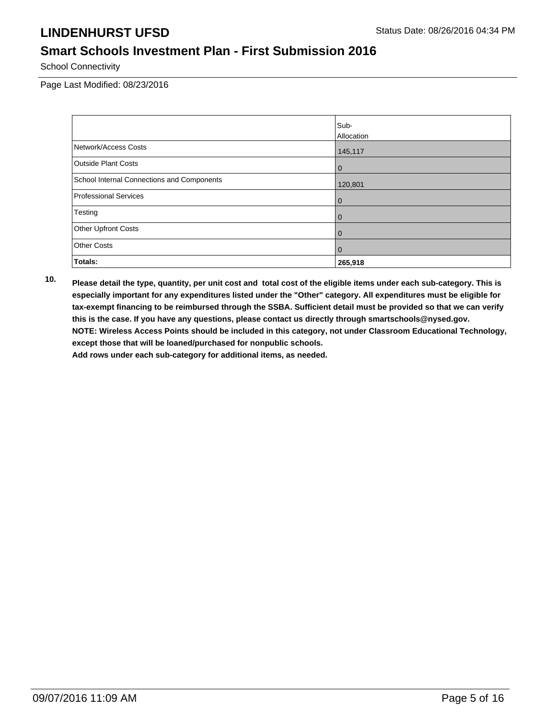## **Smart Schools Investment Plan - First Submission 2016**

School Connectivity

Page Last Modified: 08/23/2016

|                                            | Sub-           |
|--------------------------------------------|----------------|
|                                            | Allocation     |
| Network/Access Costs                       | 145,117        |
| Outside Plant Costs                        | $\overline{0}$ |
| School Internal Connections and Components | 120,801        |
| Professional Services                      | $\mathbf 0$    |
| Testing                                    | $\mathbf 0$    |
| <b>Other Upfront Costs</b>                 | $\overline{0}$ |
| <b>Other Costs</b>                         | $\overline{0}$ |
| Totals:                                    | 265,918        |

**10. Please detail the type, quantity, per unit cost and total cost of the eligible items under each sub-category. This is especially important for any expenditures listed under the "Other" category. All expenditures must be eligible for tax-exempt financing to be reimbursed through the SSBA. Sufficient detail must be provided so that we can verify this is the case. If you have any questions, please contact us directly through smartschools@nysed.gov. NOTE: Wireless Access Points should be included in this category, not under Classroom Educational Technology, except those that will be loaned/purchased for nonpublic schools.**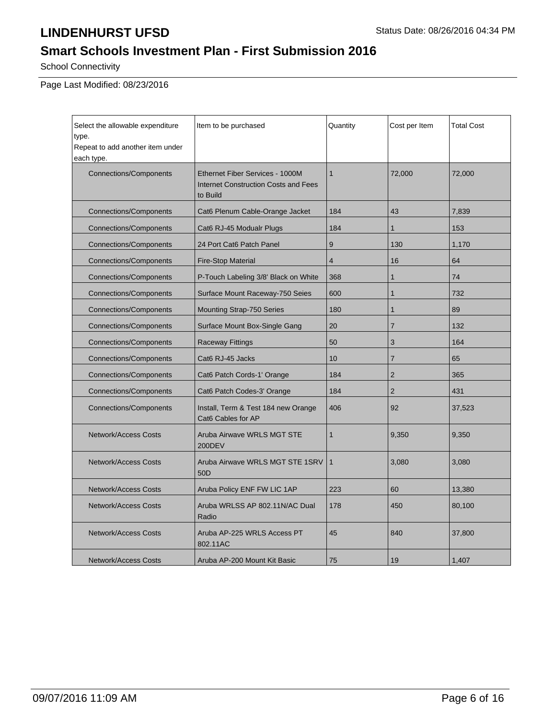# **Smart Schools Investment Plan - First Submission 2016**

School Connectivity

Page Last Modified: 08/23/2016

| Select the allowable expenditure<br>type.<br>Repeat to add another item under<br>each type. | Item to be purchased                                                                | Quantity     | Cost per Item  | <b>Total Cost</b> |
|---------------------------------------------------------------------------------------------|-------------------------------------------------------------------------------------|--------------|----------------|-------------------|
| <b>Connections/Components</b>                                                               | Ethernet Fiber Services - 1000M<br>Internet Construction Costs and Fees<br>to Build | $\mathbf{1}$ | 72,000         | 72,000            |
| <b>Connections/Components</b>                                                               | Cat6 Plenum Cable-Orange Jacket                                                     | 184          | 43             | 7,839             |
| <b>Connections/Components</b>                                                               | Cat6 RJ-45 Modualr Plugs                                                            | 184          | $\mathbf{1}$   | 153               |
| <b>Connections/Components</b>                                                               | 24 Port Cat6 Patch Panel                                                            | 9            | 130            | 1,170             |
| <b>Connections/Components</b>                                                               | <b>Fire-Stop Material</b>                                                           | 4            | 16             | 64                |
| <b>Connections/Components</b>                                                               | P-Touch Labeling 3/8' Black on White                                                | 368          | 1              | 74                |
| <b>Connections/Components</b>                                                               | Surface Mount Raceway-750 Seies                                                     | 600          | 1              | 732               |
| <b>Connections/Components</b>                                                               | Mounting Strap-750 Series                                                           | 180          | 1              | 89                |
| <b>Connections/Components</b>                                                               | Surface Mount Box-Single Gang                                                       | 20           | $\overline{7}$ | 132               |
| <b>Connections/Components</b>                                                               | <b>Raceway Fittings</b>                                                             | 50           | 3              | 164               |
| <b>Connections/Components</b>                                                               | Cat6 RJ-45 Jacks                                                                    | 10           | $\overline{7}$ | 65                |
| <b>Connections/Components</b>                                                               | Cat6 Patch Cords-1' Orange                                                          | 184          | $\overline{2}$ | 365               |
| <b>Connections/Components</b>                                                               | Cat6 Patch Codes-3' Orange                                                          | 184          | $\overline{2}$ | 431               |
| <b>Connections/Components</b>                                                               | Install, Term & Test 184 new Orange<br>Cat6 Cables for AP                           | 406          | 92             | 37,523            |
| <b>Network/Access Costs</b>                                                                 | Aruba Airwaye WRLS MGT STE<br>200DEV                                                | $\mathbf{1}$ | 9,350          | 9,350             |
| <b>Network/Access Costs</b><br>Aruba Airwave WRLS MGT STE 1SRV<br>50 <sub>D</sub>           |                                                                                     | $\mathbf{1}$ | 3,080          | 3,080             |
| <b>Network/Access Costs</b>                                                                 | Aruba Policy ENF FW LIC 1AP                                                         | 223          | 60             | 13,380            |
| <b>Network/Access Costs</b><br>Aruba WRLSS AP 802.11N/AC Dual<br>Radio                      |                                                                                     | 178          | 450            | 80,100            |
| Aruba AP-225 WRLS Access PT<br>Network/Access Costs<br>802.11AC                             |                                                                                     | 45           | 840            | 37,800            |
| <b>Network/Access Costs</b>                                                                 | Aruba AP-200 Mount Kit Basic                                                        | 75           | 19             | 1,407             |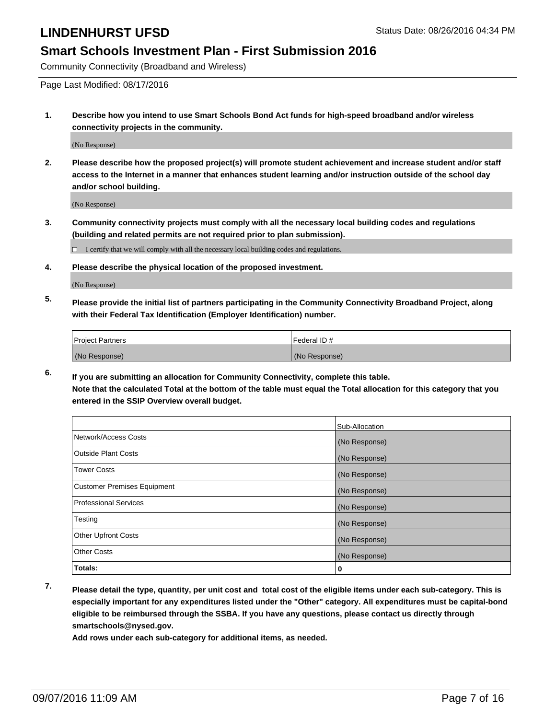#### **Smart Schools Investment Plan - First Submission 2016**

Community Connectivity (Broadband and Wireless)

Page Last Modified: 08/17/2016

**1. Describe how you intend to use Smart Schools Bond Act funds for high-speed broadband and/or wireless connectivity projects in the community.**

(No Response)

**2. Please describe how the proposed project(s) will promote student achievement and increase student and/or staff access to the Internet in a manner that enhances student learning and/or instruction outside of the school day and/or school building.**

(No Response)

**3. Community connectivity projects must comply with all the necessary local building codes and regulations (building and related permits are not required prior to plan submission).**

 $\Box$  I certify that we will comply with all the necessary local building codes and regulations.

**4. Please describe the physical location of the proposed investment.**

(No Response)

**5. Please provide the initial list of partners participating in the Community Connectivity Broadband Project, along with their Federal Tax Identification (Employer Identification) number.**

| <b>Project Partners</b> | Federal ID#   |
|-------------------------|---------------|
| (No Response)           | (No Response) |

**6. If you are submitting an allocation for Community Connectivity, complete this table. Note that the calculated Total at the bottom of the table must equal the Total allocation for this category that you entered in the SSIP Overview overall budget.**

|                                    | Sub-Allocation |
|------------------------------------|----------------|
| Network/Access Costs               | (No Response)  |
| <b>Outside Plant Costs</b>         | (No Response)  |
| Tower Costs                        | (No Response)  |
| <b>Customer Premises Equipment</b> | (No Response)  |
| <b>Professional Services</b>       | (No Response)  |
| Testing                            | (No Response)  |
| <b>Other Upfront Costs</b>         | (No Response)  |
| <b>Other Costs</b>                 | (No Response)  |
| Totals:                            | 0              |

**7. Please detail the type, quantity, per unit cost and total cost of the eligible items under each sub-category. This is especially important for any expenditures listed under the "Other" category. All expenditures must be capital-bond eligible to be reimbursed through the SSBA. If you have any questions, please contact us directly through smartschools@nysed.gov.**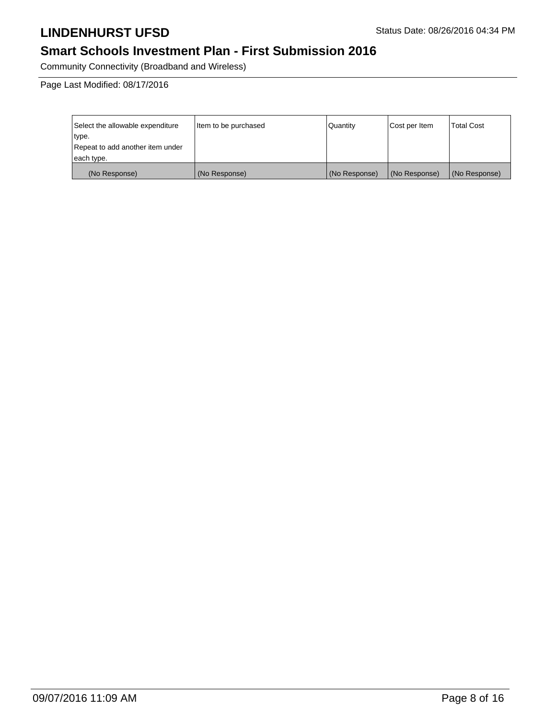### **Smart Schools Investment Plan - First Submission 2016**

Community Connectivity (Broadband and Wireless)

Page Last Modified: 08/17/2016

| Select the allowable expenditure | Item to be purchased | Quantity      | Cost per Item | <b>Total Cost</b> |
|----------------------------------|----------------------|---------------|---------------|-------------------|
| type.                            |                      |               |               |                   |
| Repeat to add another item under |                      |               |               |                   |
| each type.                       |                      |               |               |                   |
| (No Response)                    | (No Response)        | (No Response) | (No Response) | (No Response)     |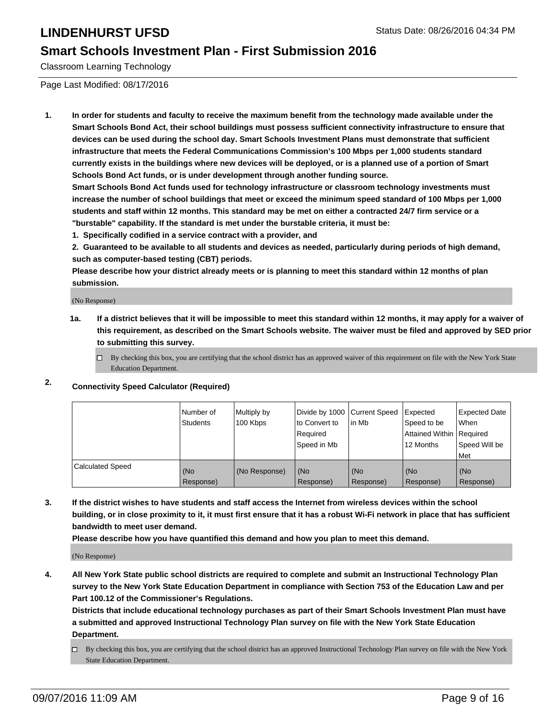#### **Smart Schools Investment Plan - First Submission 2016**

Classroom Learning Technology

Page Last Modified: 08/17/2016

**1. In order for students and faculty to receive the maximum benefit from the technology made available under the Smart Schools Bond Act, their school buildings must possess sufficient connectivity infrastructure to ensure that devices can be used during the school day. Smart Schools Investment Plans must demonstrate that sufficient infrastructure that meets the Federal Communications Commission's 100 Mbps per 1,000 students standard currently exists in the buildings where new devices will be deployed, or is a planned use of a portion of Smart Schools Bond Act funds, or is under development through another funding source.**

**Smart Schools Bond Act funds used for technology infrastructure or classroom technology investments must increase the number of school buildings that meet or exceed the minimum speed standard of 100 Mbps per 1,000 students and staff within 12 months. This standard may be met on either a contracted 24/7 firm service or a "burstable" capability. If the standard is met under the burstable criteria, it must be:**

**1. Specifically codified in a service contract with a provider, and**

**2. Guaranteed to be available to all students and devices as needed, particularly during periods of high demand, such as computer-based testing (CBT) periods.**

**Please describe how your district already meets or is planning to meet this standard within 12 months of plan submission.**

(No Response)

- **1a. If a district believes that it will be impossible to meet this standard within 12 months, it may apply for a waiver of this requirement, as described on the Smart Schools website. The waiver must be filed and approved by SED prior to submitting this survey.**
	- $\Box$  By checking this box, you are certifying that the school district has an approved waiver of this requirement on file with the New York State Education Department.
- **2. Connectivity Speed Calculator (Required)**

|                         | INumber of<br>Students | Multiply by<br>100 Kbps | Ito Convert to<br>Reauired<br>Speed in Mb | Divide by 1000 Current Speed Expected<br>lin Mb | Speed to be<br>Attained Within   Required<br>12 Months | <b>Expected Date</b><br>l When<br>Speed Will be<br>Met |
|-------------------------|------------------------|-------------------------|-------------------------------------------|-------------------------------------------------|--------------------------------------------------------|--------------------------------------------------------|
| <b>Calculated Speed</b> | (No<br>Response)       | (No Response)           | (No<br>Response)                          | (No<br>Response)                                | l (No<br>Response)                                     | (No<br>Response)                                       |

**3. If the district wishes to have students and staff access the Internet from wireless devices within the school building, or in close proximity to it, it must first ensure that it has a robust Wi-Fi network in place that has sufficient bandwidth to meet user demand.**

**Please describe how you have quantified this demand and how you plan to meet this demand.**

(No Response)

**4. All New York State public school districts are required to complete and submit an Instructional Technology Plan survey to the New York State Education Department in compliance with Section 753 of the Education Law and per Part 100.12 of the Commissioner's Regulations.**

**Districts that include educational technology purchases as part of their Smart Schools Investment Plan must have a submitted and approved Instructional Technology Plan survey on file with the New York State Education Department.**

By checking this box, you are certifying that the school district has an approved Instructional Technology Plan survey on file with the New York State Education Department.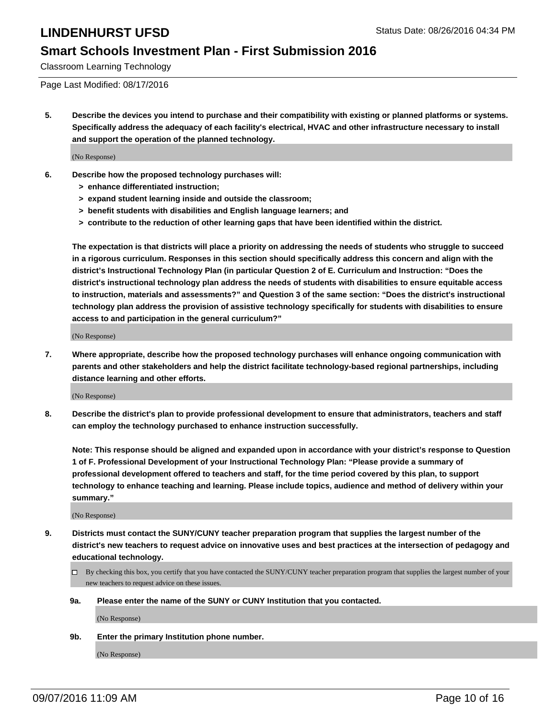#### **Smart Schools Investment Plan - First Submission 2016**

Classroom Learning Technology

Page Last Modified: 08/17/2016

**5. Describe the devices you intend to purchase and their compatibility with existing or planned platforms or systems. Specifically address the adequacy of each facility's electrical, HVAC and other infrastructure necessary to install and support the operation of the planned technology.**

(No Response)

- **6. Describe how the proposed technology purchases will:**
	- **> enhance differentiated instruction;**
	- **> expand student learning inside and outside the classroom;**
	- **> benefit students with disabilities and English language learners; and**
	- **> contribute to the reduction of other learning gaps that have been identified within the district.**

**The expectation is that districts will place a priority on addressing the needs of students who struggle to succeed in a rigorous curriculum. Responses in this section should specifically address this concern and align with the district's Instructional Technology Plan (in particular Question 2 of E. Curriculum and Instruction: "Does the district's instructional technology plan address the needs of students with disabilities to ensure equitable access to instruction, materials and assessments?" and Question 3 of the same section: "Does the district's instructional technology plan address the provision of assistive technology specifically for students with disabilities to ensure access to and participation in the general curriculum?"**

(No Response)

**7. Where appropriate, describe how the proposed technology purchases will enhance ongoing communication with parents and other stakeholders and help the district facilitate technology-based regional partnerships, including distance learning and other efforts.**

(No Response)

**8. Describe the district's plan to provide professional development to ensure that administrators, teachers and staff can employ the technology purchased to enhance instruction successfully.**

**Note: This response should be aligned and expanded upon in accordance with your district's response to Question 1 of F. Professional Development of your Instructional Technology Plan: "Please provide a summary of professional development offered to teachers and staff, for the time period covered by this plan, to support technology to enhance teaching and learning. Please include topics, audience and method of delivery within your summary."**

(No Response)

- **9. Districts must contact the SUNY/CUNY teacher preparation program that supplies the largest number of the district's new teachers to request advice on innovative uses and best practices at the intersection of pedagogy and educational technology.**
	- $\Box$  By checking this box, you certify that you have contacted the SUNY/CUNY teacher preparation program that supplies the largest number of your new teachers to request advice on these issues.
	- **9a. Please enter the name of the SUNY or CUNY Institution that you contacted.**

(No Response)

**9b. Enter the primary Institution phone number.**

(No Response)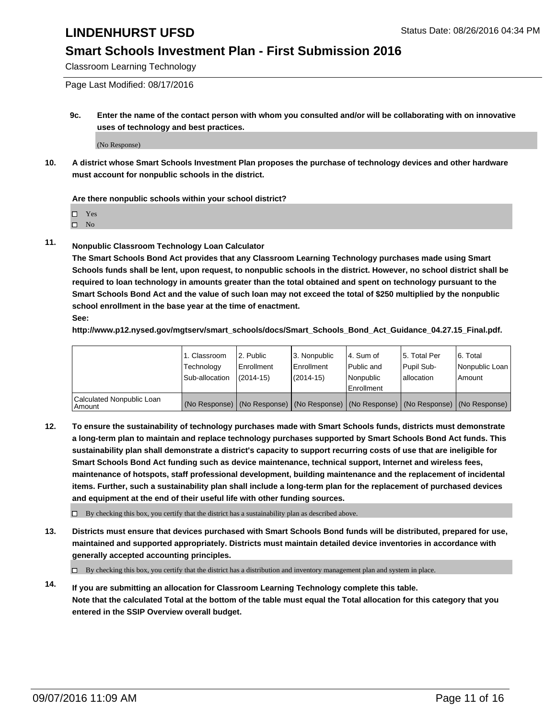#### **Smart Schools Investment Plan - First Submission 2016**

Classroom Learning Technology

Page Last Modified: 08/17/2016

**9c. Enter the name of the contact person with whom you consulted and/or will be collaborating with on innovative uses of technology and best practices.**

(No Response)

**10. A district whose Smart Schools Investment Plan proposes the purchase of technology devices and other hardware must account for nonpublic schools in the district.**

**Are there nonpublic schools within your school district?**

□ Yes

 $\hfill \square$  No

**11. Nonpublic Classroom Technology Loan Calculator**

**The Smart Schools Bond Act provides that any Classroom Learning Technology purchases made using Smart Schools funds shall be lent, upon request, to nonpublic schools in the district. However, no school district shall be required to loan technology in amounts greater than the total obtained and spent on technology pursuant to the Smart Schools Bond Act and the value of such loan may not exceed the total of \$250 multiplied by the nonpublic school enrollment in the base year at the time of enactment. See:**

**http://www.p12.nysed.gov/mgtserv/smart\_schools/docs/Smart\_Schools\_Bond\_Act\_Guidance\_04.27.15\_Final.pdf.**

|                                         | 1. Classroom<br>Technology<br>Sub-allocation | 2. Public<br><b>Enrollment</b><br>$(2014 - 15)$ | 3. Nonpublic<br><b>Enrollment</b><br>$(2014 - 15)$                                            | l 4. Sum of<br>l Public and<br>Nonpublic<br>Enrollment | 5. Total Per<br>Pupil Sub-<br>lallocation | 6. Total<br>Nonpublic Loan<br>Amount |
|-----------------------------------------|----------------------------------------------|-------------------------------------------------|-----------------------------------------------------------------------------------------------|--------------------------------------------------------|-------------------------------------------|--------------------------------------|
| Calculated Nonpublic Loan<br>l Amount i |                                              |                                                 | (No Response)   (No Response)   (No Response)   (No Response)   (No Response)   (No Response) |                                                        |                                           |                                      |

**12. To ensure the sustainability of technology purchases made with Smart Schools funds, districts must demonstrate a long-term plan to maintain and replace technology purchases supported by Smart Schools Bond Act funds. This sustainability plan shall demonstrate a district's capacity to support recurring costs of use that are ineligible for Smart Schools Bond Act funding such as device maintenance, technical support, Internet and wireless fees, maintenance of hotspots, staff professional development, building maintenance and the replacement of incidental items. Further, such a sustainability plan shall include a long-term plan for the replacement of purchased devices and equipment at the end of their useful life with other funding sources.**

 $\square$  By checking this box, you certify that the district has a sustainability plan as described above.

**13. Districts must ensure that devices purchased with Smart Schools Bond funds will be distributed, prepared for use, maintained and supported appropriately. Districts must maintain detailed device inventories in accordance with generally accepted accounting principles.**

By checking this box, you certify that the district has a distribution and inventory management plan and system in place.

**14. If you are submitting an allocation for Classroom Learning Technology complete this table. Note that the calculated Total at the bottom of the table must equal the Total allocation for this category that you entered in the SSIP Overview overall budget.**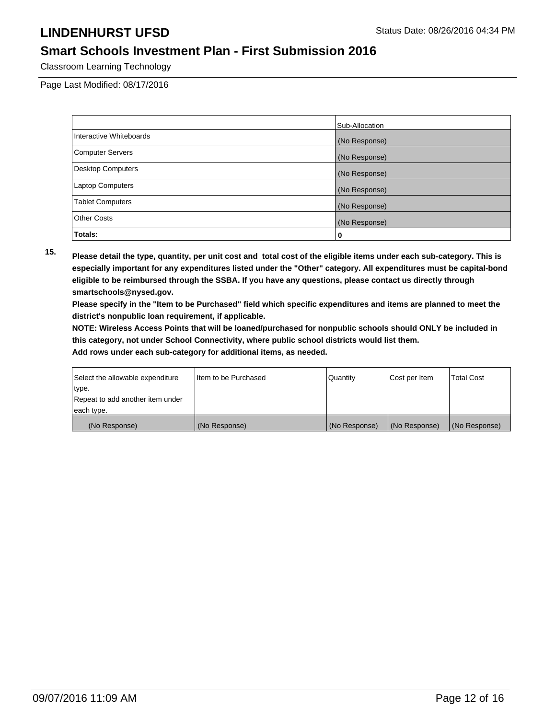### **Smart Schools Investment Plan - First Submission 2016**

Classroom Learning Technology

Page Last Modified: 08/17/2016

|                          | Sub-Allocation |
|--------------------------|----------------|
| Interactive Whiteboards  | (No Response)  |
| <b>Computer Servers</b>  | (No Response)  |
| <b>Desktop Computers</b> | (No Response)  |
| <b>Laptop Computers</b>  | (No Response)  |
| <b>Tablet Computers</b>  | (No Response)  |
| <b>Other Costs</b>       | (No Response)  |
| Totals:                  | 0              |

**15. Please detail the type, quantity, per unit cost and total cost of the eligible items under each sub-category. This is especially important for any expenditures listed under the "Other" category. All expenditures must be capital-bond eligible to be reimbursed through the SSBA. If you have any questions, please contact us directly through smartschools@nysed.gov.**

**Please specify in the "Item to be Purchased" field which specific expenditures and items are planned to meet the district's nonpublic loan requirement, if applicable.**

**NOTE: Wireless Access Points that will be loaned/purchased for nonpublic schools should ONLY be included in this category, not under School Connectivity, where public school districts would list them.**

| Select the allowable expenditure | Item to be Purchased | Quantity      | Cost per Item | <b>Total Cost</b> |
|----------------------------------|----------------------|---------------|---------------|-------------------|
| type.                            |                      |               |               |                   |
| Repeat to add another item under |                      |               |               |                   |
| each type.                       |                      |               |               |                   |
| (No Response)                    | (No Response)        | (No Response) | (No Response) | (No Response)     |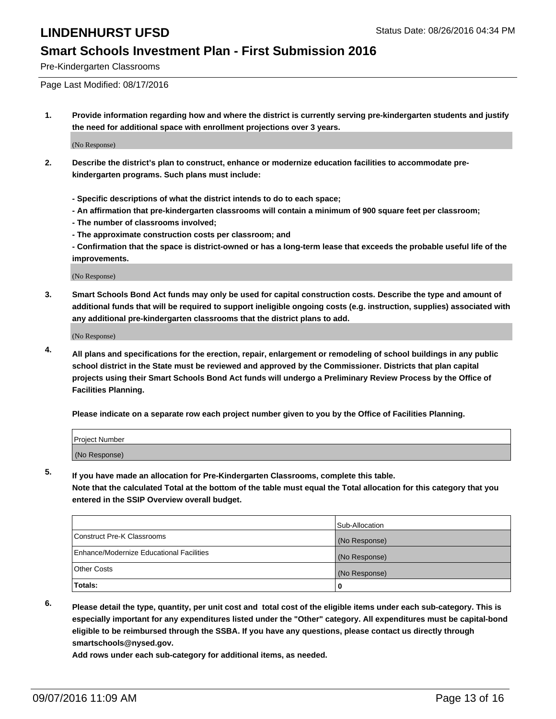#### **Smart Schools Investment Plan - First Submission 2016**

Pre-Kindergarten Classrooms

Page Last Modified: 08/17/2016

**1. Provide information regarding how and where the district is currently serving pre-kindergarten students and justify the need for additional space with enrollment projections over 3 years.**

(No Response)

- **2. Describe the district's plan to construct, enhance or modernize education facilities to accommodate prekindergarten programs. Such plans must include:**
	- **Specific descriptions of what the district intends to do to each space;**
	- **An affirmation that pre-kindergarten classrooms will contain a minimum of 900 square feet per classroom;**
	- **The number of classrooms involved;**
	- **The approximate construction costs per classroom; and**
	- **Confirmation that the space is district-owned or has a long-term lease that exceeds the probable useful life of the improvements.**

(No Response)

**3. Smart Schools Bond Act funds may only be used for capital construction costs. Describe the type and amount of additional funds that will be required to support ineligible ongoing costs (e.g. instruction, supplies) associated with any additional pre-kindergarten classrooms that the district plans to add.**

(No Response)

**4. All plans and specifications for the erection, repair, enlargement or remodeling of school buildings in any public school district in the State must be reviewed and approved by the Commissioner. Districts that plan capital projects using their Smart Schools Bond Act funds will undergo a Preliminary Review Process by the Office of Facilities Planning.**

**Please indicate on a separate row each project number given to you by the Office of Facilities Planning.**

| Project Number |  |
|----------------|--|
| (No Response)  |  |

**5. If you have made an allocation for Pre-Kindergarten Classrooms, complete this table.**

**Note that the calculated Total at the bottom of the table must equal the Total allocation for this category that you entered in the SSIP Overview overall budget.**

|                                          | Sub-Allocation |
|------------------------------------------|----------------|
| Construct Pre-K Classrooms               | (No Response)  |
| Enhance/Modernize Educational Facilities | (No Response)  |
| Other Costs                              | (No Response)  |
| Totals:                                  |                |

**6. Please detail the type, quantity, per unit cost and total cost of the eligible items under each sub-category. This is especially important for any expenditures listed under the "Other" category. All expenditures must be capital-bond eligible to be reimbursed through the SSBA. If you have any questions, please contact us directly through smartschools@nysed.gov.**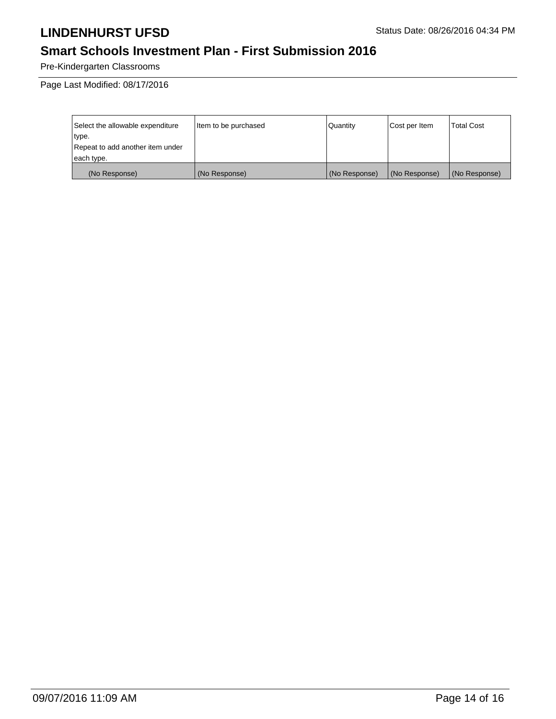# **Smart Schools Investment Plan - First Submission 2016**

Pre-Kindergarten Classrooms

Page Last Modified: 08/17/2016

| Select the allowable expenditure | litem to be purchased | Quantity      | Cost per Item | <b>Total Cost</b> |
|----------------------------------|-----------------------|---------------|---------------|-------------------|
| type.                            |                       |               |               |                   |
| Repeat to add another item under |                       |               |               |                   |
| each type.                       |                       |               |               |                   |
| (No Response)                    | (No Response)         | (No Response) | (No Response) | (No Response)     |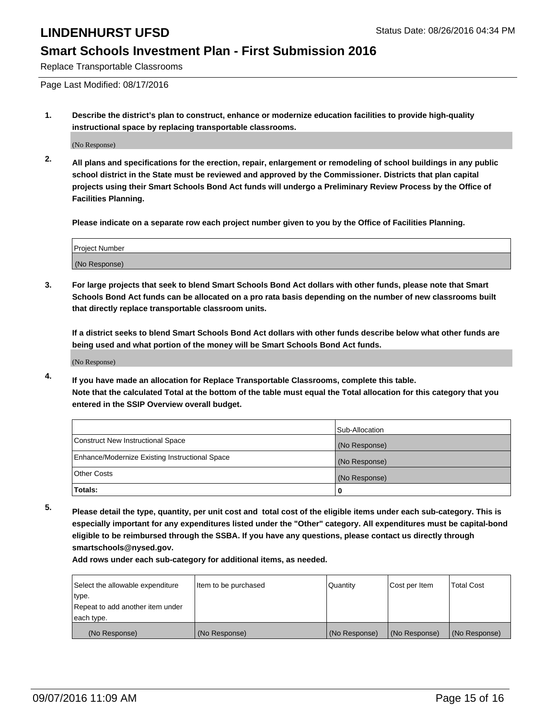#### **Smart Schools Investment Plan - First Submission 2016**

Replace Transportable Classrooms

Page Last Modified: 08/17/2016

**1. Describe the district's plan to construct, enhance or modernize education facilities to provide high-quality instructional space by replacing transportable classrooms.**

(No Response)

**2. All plans and specifications for the erection, repair, enlargement or remodeling of school buildings in any public school district in the State must be reviewed and approved by the Commissioner. Districts that plan capital projects using their Smart Schools Bond Act funds will undergo a Preliminary Review Process by the Office of Facilities Planning.**

**Please indicate on a separate row each project number given to you by the Office of Facilities Planning.**

| Project Number |  |
|----------------|--|
| (No Response)  |  |

**3. For large projects that seek to blend Smart Schools Bond Act dollars with other funds, please note that Smart Schools Bond Act funds can be allocated on a pro rata basis depending on the number of new classrooms built that directly replace transportable classroom units.**

**If a district seeks to blend Smart Schools Bond Act dollars with other funds describe below what other funds are being used and what portion of the money will be Smart Schools Bond Act funds.**

(No Response)

**4. If you have made an allocation for Replace Transportable Classrooms, complete this table. Note that the calculated Total at the bottom of the table must equal the Total allocation for this category that you entered in the SSIP Overview overall budget.**

|                                                | Sub-Allocation |
|------------------------------------------------|----------------|
| Construct New Instructional Space              | (No Response)  |
| Enhance/Modernize Existing Instructional Space | (No Response)  |
| Other Costs                                    | (No Response)  |
| Totals:                                        | 0              |

**5. Please detail the type, quantity, per unit cost and total cost of the eligible items under each sub-category. This is especially important for any expenditures listed under the "Other" category. All expenditures must be capital-bond eligible to be reimbursed through the SSBA. If you have any questions, please contact us directly through smartschools@nysed.gov.**

| Select the allowable expenditure | Item to be purchased | Quantity      | Cost per Item | Total Cost    |
|----------------------------------|----------------------|---------------|---------------|---------------|
| type.                            |                      |               |               |               |
| Repeat to add another item under |                      |               |               |               |
| each type.                       |                      |               |               |               |
| (No Response)                    | (No Response)        | (No Response) | (No Response) | (No Response) |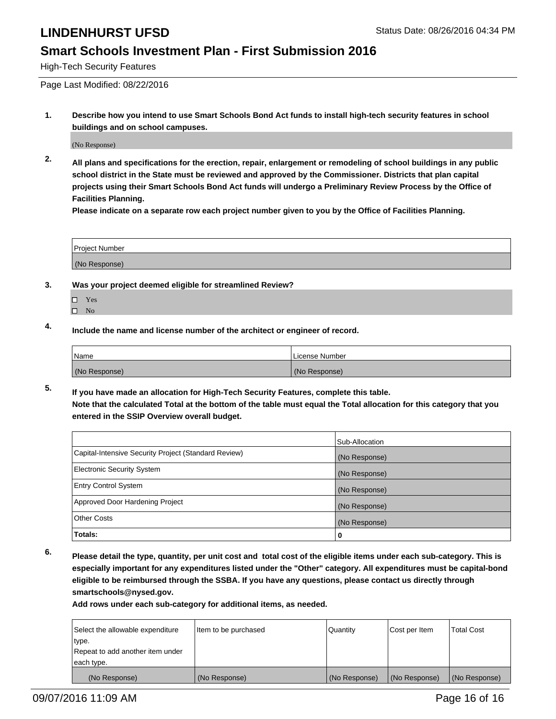#### **Smart Schools Investment Plan - First Submission 2016**

High-Tech Security Features

Page Last Modified: 08/22/2016

**1. Describe how you intend to use Smart Schools Bond Act funds to install high-tech security features in school buildings and on school campuses.**

(No Response)

**2. All plans and specifications for the erection, repair, enlargement or remodeling of school buildings in any public school district in the State must be reviewed and approved by the Commissioner. Districts that plan capital projects using their Smart Schools Bond Act funds will undergo a Preliminary Review Process by the Office of Facilities Planning.** 

**Please indicate on a separate row each project number given to you by the Office of Facilities Planning.**

| Project Number              |  |  |  |
|-----------------------------|--|--|--|
|                             |  |  |  |
| $(N_0$<br>$(1)$ No Response |  |  |  |

- **3. Was your project deemed eligible for streamlined Review?**
	- □ Yes
	- $\square$  No
- **4. Include the name and license number of the architect or engineer of record.**

| Name          | License Number |
|---------------|----------------|
| (No Response) | (No Response)  |

**5. If you have made an allocation for High-Tech Security Features, complete this table. Note that the calculated Total at the bottom of the table must equal the Total allocation for this category that you entered in the SSIP Overview overall budget.**

|                                                      | Sub-Allocation |
|------------------------------------------------------|----------------|
| Capital-Intensive Security Project (Standard Review) | (No Response)  |
| <b>Electronic Security System</b>                    | (No Response)  |
| <b>Entry Control System</b>                          | (No Response)  |
| Approved Door Hardening Project                      | (No Response)  |
| <b>Other Costs</b>                                   | (No Response)  |
| Totals:                                              | 0              |

**6. Please detail the type, quantity, per unit cost and total cost of the eligible items under each sub-category. This is especially important for any expenditures listed under the "Other" category. All expenditures must be capital-bond eligible to be reimbursed through the SSBA. If you have any questions, please contact us directly through smartschools@nysed.gov.**

| Select the allowable expenditure | Item to be purchased | Quantity      | Cost per Item | <b>Total Cost</b> |
|----------------------------------|----------------------|---------------|---------------|-------------------|
| type.                            |                      |               |               |                   |
| Repeat to add another item under |                      |               |               |                   |
| each type.                       |                      |               |               |                   |
| (No Response)                    | (No Response)        | (No Response) | (No Response) | (No Response)     |